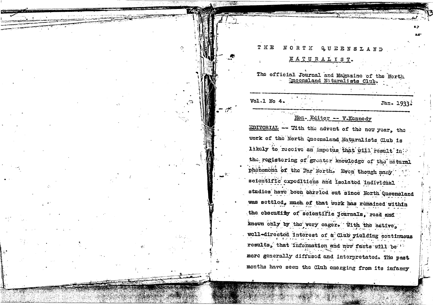# NORTH QUEENSLAND **THE** NATURALIST. The official Journal and Magazine of the North Queensland Naturalists Club.  $Vol.I$  No 4. Jan. 1933 Hon- Editor -- V-Kennedy EDITORIAL -- Vith the advent of the new year, the work of the North Queensland Naturalists Club is likely to receive an impetus that will result in the registering of greater knowledge of the natural phonomona of the Far North. Even though many scientific expeditions and isolated individual studies have been carried out since North Queensland was settled, much of that work has remained within

the obscutity of scientific journals, read and known only by the very cager. With the active, well-directed interest of a Club yielding continuous results, that information and new facts will be 12 more generally diffused and interpretated. The past months have seen the Club emerging from its infancy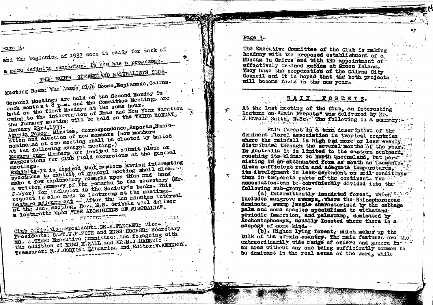paga 2. and the beginning of 1933 sees it ready for tork of

a more definite character. It hey has a programme.

THE NORTH QUEENSTAND RATURALISTS CLUB-

Meeting Room: The Anzac Club Rooms, Esplanade, Cairns.

General Meetings are held on the Second Monday in cach month at 8 p.m. and the Committee Meetings are held on the first Mondays at the same hour. Oving to the intervention of Xmas and New Year Vacation the January meeting will be held on the THIRD MONDAY.

Agenda Paper, Minutes, Correspondence, Reports, Nomination and election of new members (new members nominated at one meeting shall be clected by ballot

at the following general meeting.)

Excursions-Members are invited to submit plans or suggestions for club field excursions at the general

Exhibits. It is desired that members having interesting mectings. specimens to exhibit at general meeting shall also make a few explanatory remarks upon them and hand a written summary of the remarks to the secretary (Mr. J. Wyer) for inclusion in the Society's books. This request is also made to lecturers at the meetings. Lecture adjournment - After the ten minutes interval at the Jan. meating, Rev, E.R. Gribble will deliver a locturatic upon WTHE ABORIGINES OF A STRALIA".

Club Officiala: President: DR.H.FLECKER: Vice-Presidents: CAPT W.P.FISH and MISS HOOPER: Secretary MR. J.WER: Executive Committee: the foregoing with the addition of MISS M. HALL and MR.M. J. MANSKI? Treasurer: R.J. CORDON: Bibrarian and Editor: V. KENNEDY. Page 3.

 $\sigma$ 

The Executive Committee of the Club is making headway with the proposed establishment of a Muscum in Cairns and with the appointment of effectively trained guides at dreen Island. They have the seeperation of the Cairns City Council and it is hoped that the both projects will become facts in the new year.

## RAIN FORESTS.

At the last meeting of the Club. an interesting lecture on "Rain Forests" was delivered by Mr. J.Harold Srith, B.Sc. The following is a surmary

Rain forest is a term descriptive of the doninant floral association in tropical countries where the rainfall is high and more or less evenly distributed through the several months of the year. In Australia it is limited to the eastern seaboard. reashing its climax in North Queensland, but persisting in an attenuated form as south as Tasmania. Given sufficient rain and adequate temperatures. its development is less dependent on soil conditions than in-temperate parts of the continent. The association can be conveniently divided into the following sub-groups:-

(a) Intermittently imundated forest, which includes mangrove swamps. where the Rhizophoraceae dominate, swamp jungle characterised by the cabbage palm and some species specialised to withstand. periodic immersion, and palmswamp, dominated by Archontophoenyx, usually located where there is a seepage of some kind.  $\Delta \sim 10^{-11}$ 

(b). Higher lying forest, which makes up the bulk of the virgin country. The main features are the extraordinarily wide range of erders and genera inan area without any one being sufficiently common to be dominant in the real sense of the word, while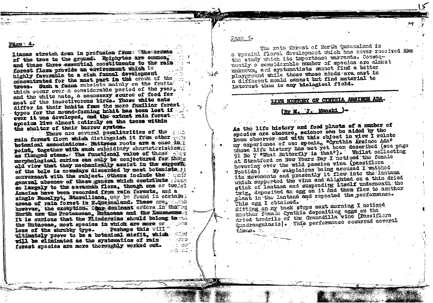lianas stretch down in profusion from tthe crowls of the tree to the ground. Epiphytes are common. and these three essential constituents to the rain forest flora provide an environment which is highly favorable to a rich faunal development concentrated for the most part in the crown of the trees. Such a fauna subsists mainly on the fruits which occur over a considerable period of the year, and the white nats, a necessary source of food for most of the insectiverous birds. These white ants differ in their habits from the more familiar ferest types for the mound-forming habit has been lost if ever it was developed, and the extant rain forest. species live almost entirely on the trees within the shelter of their burrow system.

There are several reculiarities of the sent rain forest flore which distinguish it from other and botanical associations. Buttress roots are a case in h point, together with such subsidiary characteristics. as flanged stems. The functional value of these shor morphological curios can only be conjectured for those old view that they mechanically assist in the support, of the bole is nowadays discarded by most botanists fi conversant with the subject. Others include the seat general absence of these genera which contribute sean so largely to the savannah flora, though one or twoich Acacias have been recorded from rain forests, and a single Bacalypt, Etorelliana, may be found in certain; areas of rain forest in NeQueensland. These area made however, the exception. Ohme coninant orders in the or North are the Protesceae, Rutaceae and the Lauraceae. It is curious that the Flindersias should belong to the the Rutaceae, most species in which are more or see less of the shrubby type. Perhaps this will ultimately prove to be a botanical misfit, which wind will be climinated as the systematics of rain wine ು ಜನೆ forest species are more thoroughly worked out. ు ముందు చిత్ర

 $Fagg\_5e$ 

F.

This cgg I obtained.

 $t_{\text{imp}}$  .

The rain forest of North Queensland is a special floral development which has never received the the study which its importance warrants. Conseqnontly a considerable number of species are almost unknown, and systematists cannot find a better playground while those whose minds are cast in a different mould cannot but find material to interest them in any biological field.

LIFE HISTORY OF CYNTHIA ARSINOE ADA.

(By M. 'J. Manski

As the life history and food plants of a number of

keen observer and with this object in view I relate

at Stratford on New Years Day I noticed the female

hovering over the wild passion vine (passiflora

Foutida) My suspicions being aroused I watched

plant in the lantana and repeated the performance.

dried tendrils of the Granddilla vine (Passiflora

Quadrangularis). This performance occurred several

Sitting on my back steps next morning I noticed

another female cynthia depositing eags on the

its movements and presently it flew into the lantana

which supported the vine and alighted on a thin dried

stick of lantars and suspending Itself underneath the

twig, deposited an egg on it and then flew to another

my experience of one specie, "Cynthia Arsinec Ada"<br>whose life history has not yet been described (see page

91 No 7 What Batterfly is that"). Whilst collecting

species are obscure, science can be aided by the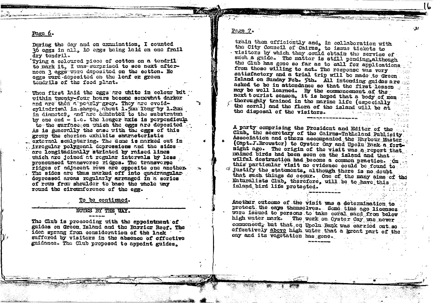#### Page 6.

During the day and on examination. I counted 36 eggs in all. 10 eggs being laid on one frail dry tendril.

Tving a coloured piece of cotton on a tendril to mark it. I was surprised to see next afternoon ? eggs were deposited on the cotton. No eggs word deposited on the leaf or green tendrils of the food plant.

When first laid the eggs are white in colour but within twenty-four hours become somewhat darker and are then a pearly grey. They are eveldcylindriuml in shape, about 1.5mm long by 1.2mm in diameter, and are comented to the substratun by one end - i.e. the longer axis is perpendicula to the surface on which the eggs are deposited. As is generally the case with the eggs of this group the chorion exhibits characteristic external sculpturing. The dome is marked out in irregular polygonal depressions and the sides are longitudinally striated by raised lines which are joined at regular intervals by less pronounced transverse ridges. The transverse ridges of adjacent rows are opposite one another. The sides are thus marked off into quadrangular depressed areas regularly arranged in a series of rows from shoulder to base the whole way round the circumference of the egg.

To be continued.

### NOTES BY THE WAY.

The Club is proceeding with the appointment of guides on Green Island and the Barrier Reef. The idee sprang from consideration of the lack suffered by visitors in the absence of effective guidance. The Club proposed to appoint guides.

Page 7.

train them efficiently and, in collaboration with the City Council of Cairns, to issue tickets to visitors by which they could obtain the service of such a guide. The matter is still pending, although the Club has gone so far as to call for applications from those willing to act. The response was very satisfactory and a trial trip will be made to Green Island on Sunday Feb. 5th. All intending guides are asked to be in attendance so that the first lesson may be well learned. By the commencement of the next tourist season, it is hoped that a body of men thoroughly trained in the marine life (especially the coral) and the flora of the island will be at the disposal of the visitors.

A party comprising the President and Editor of the Club, the secretary of the Cairns-Tableland Publicity Association and others accompanied the Harbour Master (Capt.J.Brewster) to Oyster Cay and Upolu Bank a fortnight ago. The origin of the visit was a report that maimed birds had been seen on the island and that. wilful destruction had become a common practice. On this particular visit no evidence could be found to. justify the statements, although there is no doubt that such things do occur. One of the many aims of the Naturalists Club. therefore, will be to have this island bird life protected.

Another outcome of the visit was a determination to protect the cays themselves. Some time ago licenses were issued to persons to take coral sand from below The work on Oyster Cay was never high water mark. commenced, but that on Upolu Bank was carried out so ... effectively above high water that a great part of the cay and its vegetation has gone.